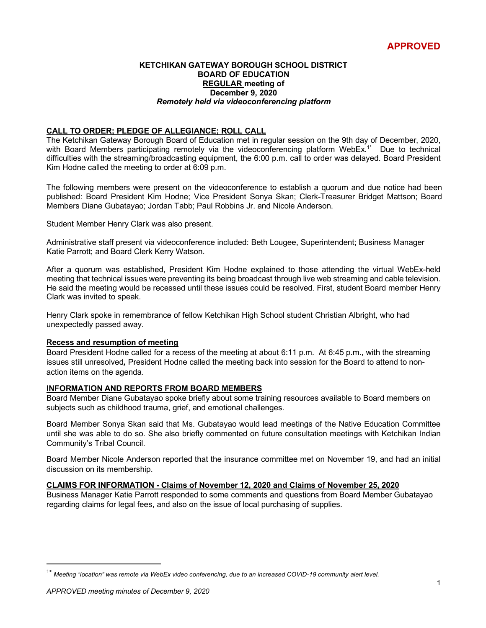#### **KETCHIKAN GATEWAY BOROUGH SCHOOL DISTRICT BOARD OF EDUCATION REGULAR meeting of December 9, 2020** *Remotely held via videoconferencing platform*

# **CALL TO ORDER; PLEDGE OF ALLEGIANCE; ROLL CALL**

The Ketchikan Gateway Borough Board of Education met in regular session on the 9th day of December, 2020, with Board Members participating remotely via the videoconferencing platform WebEx.<sup>1\*</sup> Due to technical difficulties with the streaming/broadcasting equipment, the 6:00 p.m. call to order was delayed. Board President Kim Hodne called the meeting to order at 6:09 p.m.

The following members were present on the videoconference to establish a quorum and due notice had been published: Board President Kim Hodne; Vice President Sonya Skan; Clerk-Treasurer Bridget Mattson; Board Members Diane Gubatayao; Jordan Tabb; Paul Robbins Jr. and Nicole Anderson.

Student Member Henry Clark was also present.

Administrative staff present via videoconference included: Beth Lougee, Superintendent; Business Manager Katie Parrott; and Board Clerk Kerry Watson.

After a quorum was established, President Kim Hodne explained to those attending the virtual WebEx-held meeting that technical issues were preventing its being broadcast through live web streaming and cable television. He said the meeting would be recessed until these issues could be resolved. First, student Board member Henry Clark was invited to speak.

Henry Clark spoke in remembrance of fellow Ketchikan High School student Christian Albright, who had unexpectedly passed away.

#### **Recess and resumption of meeting**

Board President Hodne called for a recess of the meeting at about 6:11 p.m. At 6:45 p.m., with the streaming issues still unresolved*,* President Hodne called the meeting back into session for the Board to attend to nonaction items on the agenda.

#### **INFORMATION AND REPORTS FROM BOARD MEMBERS**

Board Member Diane Gubatayao spoke briefly about some training resources available to Board members on subjects such as childhood trauma, grief, and emotional challenges.

Board Member Sonya Skan said that Ms. Gubatayao would lead meetings of the Native Education Committee until she was able to do so. She also briefly commented on future consultation meetings with Ketchikan Indian Community's Tribal Council.

Board Member Nicole Anderson reported that the insurance committee met on November 19, and had an initial discussion on its membership.

#### **CLAIMS FOR INFORMATION - Claims of November 12, 2020 and Claims of November 25, 2020**

Business Manager Katie Parrott responded to some comments and questions from Board Member Gubatayao regarding claims for legal fees, and also on the issue of local purchasing of supplies.

 <sup>1\*</sup> *Meeting "location" was remote via WebEx video conferencing, due to an increased COVID-19 community alert level.*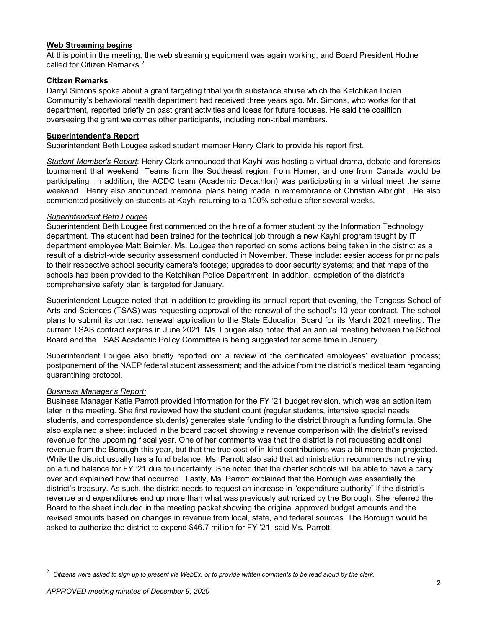# **Web Streaming begins**

At this point in the meeting, the web streaming equipment was again working, and Board President Hodne called for Citizen Remarks.<sup>2</sup>

### **Citizen Remarks**

Darryl Simons spoke about a grant targeting tribal youth substance abuse which the Ketchikan Indian Community's behavioral health department had received three years ago. Mr. Simons, who works for that department, reported briefly on past grant activities and ideas for future focuses. He said the coalition overseeing the grant welcomes other participants, including non-tribal members.

#### **Superintendent's Report**

Superintendent Beth Lougee asked student member Henry Clark to provide his report first.

*Student Member's Report*: Henry Clark announced that Kayhi was hosting a virtual drama, debate and forensics tournament that weekend. Teams from the Southeast region, from Homer, and one from Canada would be participating. In addition, the ACDC team (Academic Decathlon) was participating in a virtual meet the same weekend. Henry also announced memorial plans being made in remembrance of Christian Albright. He also commented positively on students at Kayhi returning to a 100% schedule after several weeks.

#### *Superintendent Beth Lougee*

Superintendent Beth Lougee first commented on the hire of a former student by the Information Technology department. The student had been trained for the technical job through a new Kayhi program taught by IT department employee Matt Beimler. Ms. Lougee then reported on some actions being taken in the district as a result of a district-wide security assessment conducted in November. These include: easier access for principals to their respective school security camera's footage; upgrades to door security systems; and that maps of the schools had been provided to the Ketchikan Police Department. In addition, completion of the district's comprehensive safety plan is targeted for January.

Superintendent Lougee noted that in addition to providing its annual report that evening, the Tongass School of Arts and Sciences (TSAS) was requesting approval of the renewal of the school's 10-year contract. The school plans to submit its contract renewal application to the State Education Board for its March 2021 meeting. The current TSAS contract expires in June 2021. Ms. Lougee also noted that an annual meeting between the School Board and the TSAS Academic Policy Committee is being suggested for some time in January.

Superintendent Lougee also briefly reported on: a review of the certificated employees' evaluation process; postponement of the NAEP federal student assessment; and the advice from the district's medical team regarding quarantining protocol.

#### *Business Manager's Report:*

Business Manager Katie Parrott provided information for the FY '21 budget revision, which was an action item later in the meeting. She first reviewed how the student count (regular students, intensive special needs students, and correspondence students) generates state funding to the district through a funding formula. She also explained a sheet included in the board packet showing a revenue comparison with the district's revised revenue for the upcoming fiscal year. One of her comments was that the district is not requesting additional revenue from the Borough this year, but that the true cost of in-kind contributions was a bit more than projected. While the district usually has a fund balance, Ms. Parrott also said that administration recommends not relying on a fund balance for FY '21 due to uncertainty. She noted that the charter schools will be able to have a carry over and explained how that occurred. Lastly, Ms. Parrott explained that the Borough was essentially the district's treasury. As such, the district needs to request an increase in "expenditure authority" if the district's revenue and expenditures end up more than what was previously authorized by the Borough. She referred the Board to the sheet included in the meeting packet showing the original approved budget amounts and the revised amounts based on changes in revenue from local, state, and federal sources. The Borough would be asked to authorize the district to expend \$46.7 million for FY '21, said Ms. Parrott.

 $\overline{2}$ *Citizens were asked to sign up to present via WebEx, or to provide written comments to be read aloud by the clerk.*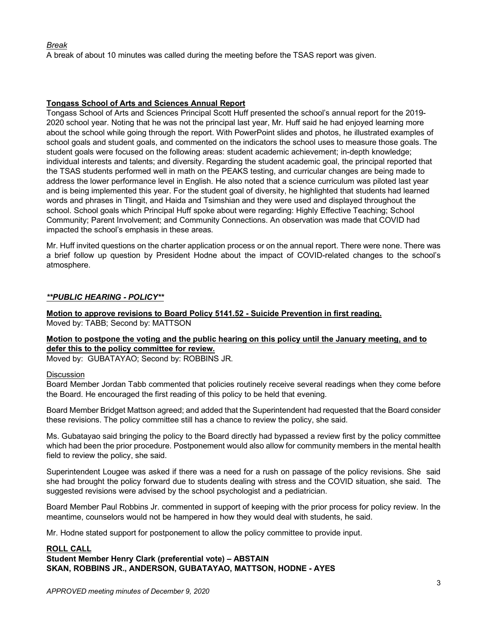# *Break*

A break of about 10 minutes was called during the meeting before the TSAS report was given.

# **Tongass School of Arts and Sciences Annual Report**

Tongass School of Arts and Sciences Principal Scott Huff presented the school's annual report for the 2019- 2020 school year. Noting that he was not the principal last year, Mr. Huff said he had enjoyed learning more about the school while going through the report. With PowerPoint slides and photos, he illustrated examples of school goals and student goals, and commented on the indicators the school uses to measure those goals. The student goals were focused on the following areas: student academic achievement; in-depth knowledge; individual interests and talents; and diversity. Regarding the student academic goal, the principal reported that the TSAS students performed well in math on the PEAKS testing, and curricular changes are being made to address the lower performance level in English. He also noted that a science curriculum was piloted last year and is being implemented this year. For the student goal of diversity, he highlighted that students had learned words and phrases in Tlingit, and Haida and Tsimshian and they were used and displayed throughout the school. School goals which Principal Huff spoke about were regarding: Highly Effective Teaching; School Community; Parent Involvement; and Community Connections. An observation was made that COVID had impacted the school's emphasis in these areas.

Mr. Huff invited questions on the charter application process or on the annual report. There were none. There was a brief follow up question by President Hodne about the impact of COVID-related changes to the school's atmosphere.

## *\*\*PUBLIC HEARING - POLICY\*\**

**Motion to approve revisions to Board Policy 5141.52 - Suicide Prevention in first reading.** Moved by: TABB; Second by: MATTSON

# **Motion to postpone the voting and the public hearing on this policy until the January meeting, and to defer this to the policy committee for review.**

Moved by: GUBATAYAO; Second by: ROBBINS JR.

#### **Discussion**

Board Member Jordan Tabb commented that policies routinely receive several readings when they come before the Board. He encouraged the first reading of this policy to be held that evening.

Board Member Bridget Mattson agreed; and added that the Superintendent had requested that the Board consider these revisions. The policy committee still has a chance to review the policy, she said.

Ms. Gubatayao said bringing the policy to the Board directly had bypassed a review first by the policy committee which had been the prior procedure. Postponement would also allow for community members in the mental health field to review the policy, she said.

Superintendent Lougee was asked if there was a need for a rush on passage of the policy revisions. She said she had brought the policy forward due to students dealing with stress and the COVID situation, she said. The suggested revisions were advised by the school psychologist and a pediatrician.

Board Member Paul Robbins Jr. commented in support of keeping with the prior process for policy review. In the meantime, counselors would not be hampered in how they would deal with students, he said.

Mr. Hodne stated support for postponement to allow the policy committee to provide input.

#### **ROLL CALL**

**Student Member Henry Clark (preferential vote) – ABSTAIN SKAN, ROBBINS JR., ANDERSON, GUBATAYAO, MATTSON, HODNE - AYES**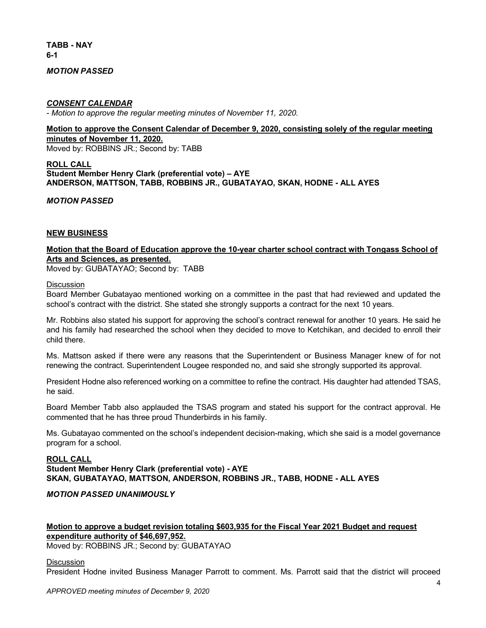**TABB - NAY 6-1**

### *MOTION PASSED*

#### *CONSENT CALENDAR*

*- Motion to approve the regular meeting minutes of November 11, 2020.*

## **Motion to approve the Consent Calendar of December 9, 2020, consisting solely of the regular meeting minutes of November 11, 2020.**

Moved by: ROBBINS JR.; Second by: TABB

#### **ROLL CALL Student Member Henry Clark (preferential vote) – AYE ANDERSON, MATTSON, TABB, ROBBINS JR., GUBATAYAO, SKAN, HODNE - ALL AYES**

*MOTION PASSED*

#### **NEW BUSINESS**

# **Motion that the Board of Education approve the 10-year charter school contract with Tongass School of Arts and Sciences, as presented.**

Moved by: GUBATAYAO; Second by: TABB

**Discussion** 

Board Member Gubatayao mentioned working on a committee in the past that had reviewed and updated the school's contract with the district. She stated she strongly supports a contract for the next 10 years.

Mr. Robbins also stated his support for approving the school's contract renewal for another 10 years. He said he and his family had researched the school when they decided to move to Ketchikan, and decided to enroll their child there.

Ms. Mattson asked if there were any reasons that the Superintendent or Business Manager knew of for not renewing the contract. Superintendent Lougee responded no, and said she strongly supported its approval.

President Hodne also referenced working on a committee to refine the contract. His daughter had attended TSAS, he said.

Board Member Tabb also applauded the TSAS program and stated his support for the contract approval. He commented that he has three proud Thunderbirds in his family.

Ms. Gubatayao commented on the school's independent decision-making, which she said is a model governance program for a school.

#### **ROLL CALL**

**Student Member Henry Clark (preferential vote) - AYE SKAN, GUBATAYAO, MATTSON, ANDERSON, ROBBINS JR., TABB, HODNE - ALL AYES**

#### *MOTION PASSED UNANIMOUSLY*

# **Motion to approve a budget revision totaling \$603,935 for the Fiscal Year 2021 Budget and request expenditure authority of \$46,697,952.**

Moved by: ROBBINS JR.; Second by: GUBATAYAO

#### **Discussion**

President Hodne invited Business Manager Parrott to comment. Ms. Parrott said that the district will proceed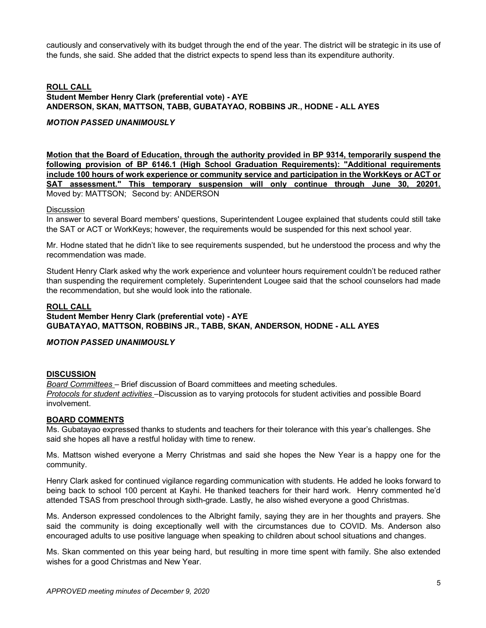cautiously and conservatively with its budget through the end of the year. The district will be strategic in its use of the funds, she said. She added that the district expects to spend less than its expenditure authority.

# **ROLL CALL Student Member Henry Clark (preferential vote) - AYE ANDERSON, SKAN, MATTSON, TABB, GUBATAYAO, ROBBINS JR., HODNE - ALL AYES**

# *MOTION PASSED UNANIMOUSLY*

**Motion that the Board of Education, through the authority provided in BP 9314, temporarily suspend the following provision of BP 6146.1 (High School Graduation Requirements): "Additional requirements include 100 hours of work experience or community service and participation in the WorkKeys or ACT or SAT assessment." This temporary suspension will only continue through June 30, 20201.**  Moved by: MATTSON; Second by: ANDERSON

#### **Discussion**

In answer to several Board members' questions, Superintendent Lougee explained that students could still take the SAT or ACT or WorkKeys; however, the requirements would be suspended for this next school year.

Mr. Hodne stated that he didn't like to see requirements suspended, but he understood the process and why the recommendation was made.

Student Henry Clark asked why the work experience and volunteer hours requirement couldn't be reduced rather than suspending the requirement completely. Superintendent Lougee said that the school counselors had made the recommendation, but she would look into the rationale.

# **ROLL CALL**

# **Student Member Henry Clark (preferential vote) - AYE GUBATAYAO, MATTSON, ROBBINS JR., TABB, SKAN, ANDERSON, HODNE - ALL AYES**

#### *MOTION PASSED UNANIMOUSLY*

#### **DISCUSSION**

*Board Committees –* Brief discussion of Board committees and meeting schedules. *Protocols for student activities* –Discussion as to varying protocols for student activities and possible Board involvement.

#### **BOARD COMMENTS**

Ms. Gubatayao expressed thanks to students and teachers for their tolerance with this year's challenges. She said she hopes all have a restful holiday with time to renew.

Ms. Mattson wished everyone a Merry Christmas and said she hopes the New Year is a happy one for the community.

Henry Clark asked for continued vigilance regarding communication with students. He added he looks forward to being back to school 100 percent at Kayhi. He thanked teachers for their hard work. Henry commented he'd attended TSAS from preschool through sixth-grade. Lastly, he also wished everyone a good Christmas.

Ms. Anderson expressed condolences to the Albright family, saying they are in her thoughts and prayers. She said the community is doing exceptionally well with the circumstances due to COVID. Ms. Anderson also encouraged adults to use positive language when speaking to children about school situations and changes.

Ms. Skan commented on this year being hard, but resulting in more time spent with family. She also extended wishes for a good Christmas and New Year.